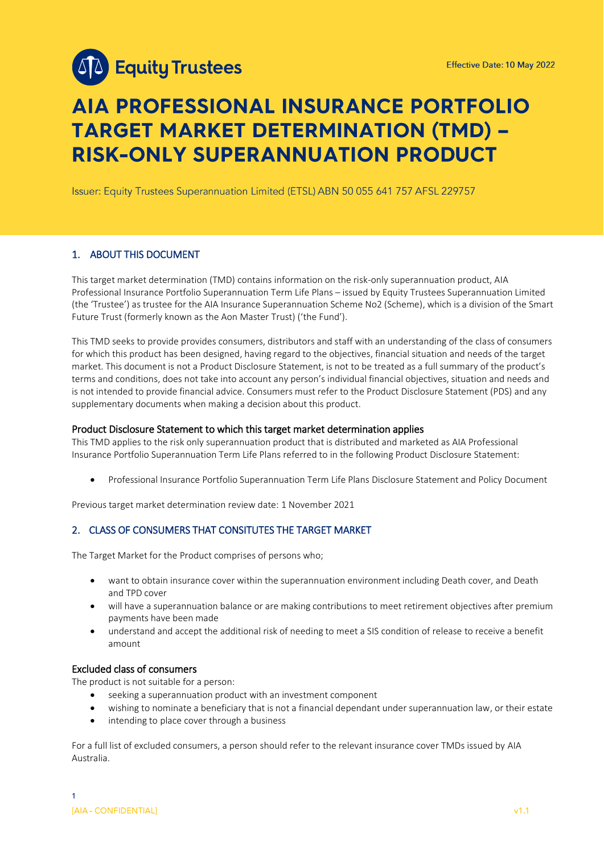

# **AIA PROFESSIONAL INSURANCE PORTFOLIO TARGET MARKET DETERMINATION (TMD) -RISK-ONLY SUPERANNUATION PRODUCT**

Issuer: Equity Trustees Superannuation Limited (ETSL) ABN 50 055 641 757 AFSL 229757

# 1. ABOUT THIS DOCUMENT

This target market determination (TMD) contains information on the risk-only superannuation product, AIA Professional Insurance Portfolio Superannuation Term Life Plans – issued by Equity Trustees Superannuation Limited (the 'Trustee') as trustee for the AIA Insurance Superannuation Scheme No2 (Scheme), which is a division of the Smart Future Trust (formerly known as the Aon Master Trust) ('the Fund').

This TMD seeks to provide provides consumers, distributors and staff with an understanding of the class of consumers for which this product has been designed, having regard to the objectives, financial situation and needs of the target market. This document is not a Product Disclosure Statement, is not to be treated as a full summary of the product's terms and conditions, does not take into account any person's individual financial objectives, situation and needs and is not intended to provide financial advice. Consumers must refer to the Product Disclosure Statement (PDS) and any supplementary documents when making a decision about this product.

#### Product Disclosure Statement to which this target market determination applies

This TMD applies to the risk only superannuation product that is distributed and marketed as AIA Professional Insurance Portfolio Superannuation Term Life Plans referred to in the following Product Disclosure Statement:

• Professional Insurance Portfolio Superannuation Term Life Plans Disclosure Statement and Policy Document

Previous target market determination review date: 1 November 2021

# 2. CLASS OF CONSUMERS THAT CONSITUTES THE TARGET MARKET

The Target Market for the Product comprises of persons who;

- want to obtain insurance cover within the superannuation environment including Death cover, and Death and TPD cover
- will have a superannuation balance or are making contributions to meet retirement objectives after premium payments have been made
- understand and accept the additional risk of needing to meet a SIS condition of release to receive a benefit amount

#### Excluded class of consumers

The product is not suitable for a person:

- seeking a superannuation product with an investment component
- wishing to nominate a beneficiary that is not a financial dependant under superannuation law, or their estate
- intending to place cover through a business

For a full list of excluded consumers, a person should refer to the relevant insurance cover TMDs issued by AIA Australia.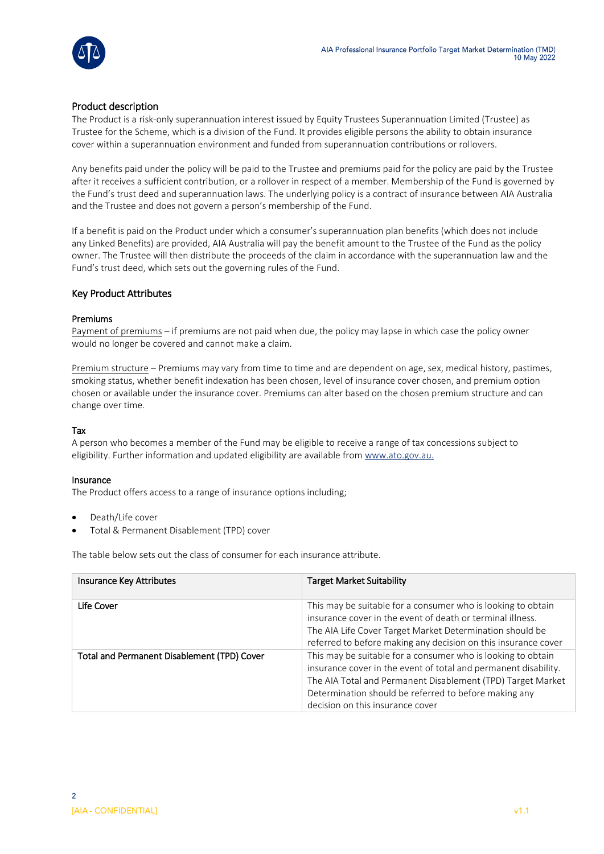

# Product description

The Product is a risk-only superannuation interest issued by Equity Trustees Superannuation Limited (Trustee) as Trustee for the Scheme, which is a division of the Fund. It provides eligible persons the ability to obtain insurance cover within a superannuation environment and funded from superannuation contributions or rollovers.

Any benefits paid under the policy will be paid to the Trustee and premiums paid for the policy are paid by the Trustee after it receives a sufficient contribution, or a rollover in respect of a member. Membership of the Fund is governed by the Fund's trust deed and superannuation laws. The underlying policy is a contract of insurance between AIA Australia and the Trustee and does not govern a person's membership of the Fund.

If a benefit is paid on the Product under which a consumer's superannuation plan benefits (which does not include any Linked Benefits) are provided, AIA Australia will pay the benefit amount to the Trustee of the Fund as the policy owner. The Trustee will then distribute the proceeds of the claim in accordance with the superannuation law and the Fund's trust deed, which sets out the governing rules of the Fund.

# Key Product Attributes

### Premiums

Payment of premiums – if premiums are not paid when due, the policy may lapse in which case the policy owner would no longer be covered and cannot make a claim.

Premium structure – Premiums may vary from time to time and are dependent on age, sex, medical history, pastimes, smoking status, whether benefit indexation has been chosen, level of insurance cover chosen, and premium option chosen or available under the insurance cover. Premiums can alter based on the chosen premium structure and can change over time.

#### Tax

A person who becomes a member of the Fund may be eligible to receive a range of tax concessions subject to eligibility. Further information and updated eligibility are available fro[m www.ato.gov.au.](http://www.ato.gov.au/)

#### Insurance

The Product offers access to a range of insurance options including;

- Death/Life cover
- Total & Permanent Disablement (TPD) cover

The table below sets out the class of consumer for each insurance attribute.

| Insurance Key Attributes                    | <b>Target Market Suitability</b>                                                                                                                                                                                                                                                            |
|---------------------------------------------|---------------------------------------------------------------------------------------------------------------------------------------------------------------------------------------------------------------------------------------------------------------------------------------------|
| Life Cover                                  | This may be suitable for a consumer who is looking to obtain<br>insurance cover in the event of death or terminal illness.<br>The AIA Life Cover Target Market Determination should be<br>referred to before making any decision on this insurance cover                                    |
| Total and Permanent Disablement (TPD) Cover | This may be suitable for a consumer who is looking to obtain<br>insurance cover in the event of total and permanent disability.<br>The AIA Total and Permanent Disablement (TPD) Target Market<br>Determination should be referred to before making any<br>decision on this insurance cover |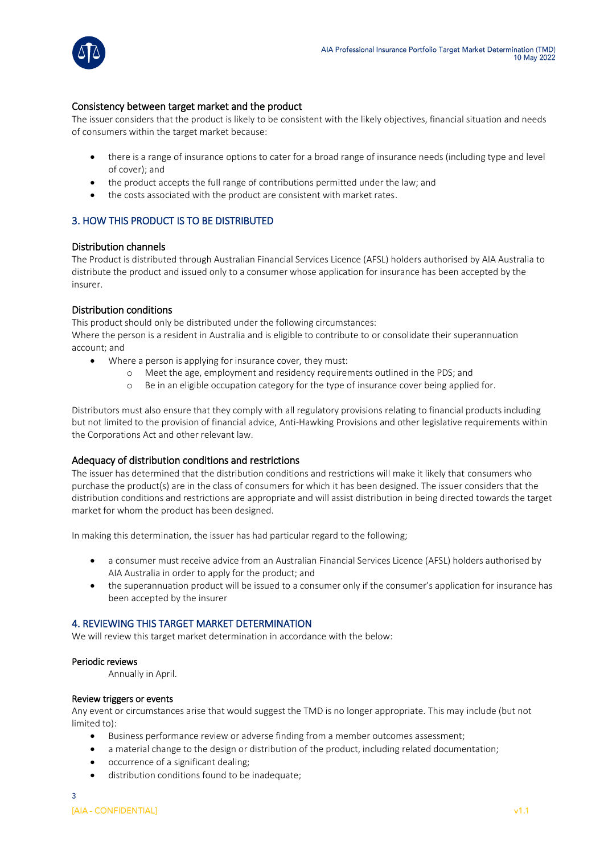

# Consistency between target market and the product

The issuer considers that the product is likely to be consistent with the likely objectives, financial situation and needs of consumers within the target market because:

- there is a range of insurance options to cater for a broad range of insurance needs (including type and level of cover); and
- the product accepts the full range of contributions permitted under the law; and
- the costs associated with the product are consistent with market rates.

# 3. HOW THIS PRODUCT IS TO BE DISTRIBUTED

### Distribution channels

The Product is distributed through Australian Financial Services Licence (AFSL) holders authorised by AIA Australia to distribute the product and issued only to a consumer whose application for insurance has been accepted by the insurer.

### Distribution conditions

This product should only be distributed under the following circumstances: Where the person is a resident in Australia and is eligible to contribute to or consolidate their superannuation

- account; and
	- Where a person is applying for insurance cover, they must:
		- o Meet the age, employment and residency requirements outlined in the PDS; and
		- o Be in an eligible occupation category for the type of insurance cover being applied for.

Distributors must also ensure that they comply with all regulatory provisions relating to financial products including but not limited to the provision of financial advice, Anti-Hawking Provisions and other legislative requirements within the Corporations Act and other relevant law.

# Adequacy of distribution conditions and restrictions

The issuer has determined that the distribution conditions and restrictions will make it likely that consumers who purchase the product(s) are in the class of consumers for which it has been designed. The issuer considers that the distribution conditions and restrictions are appropriate and will assist distribution in being directed towards the target market for whom the product has been designed.

In making this determination, the issuer has had particular regard to the following;

- a consumer must receive advice from an Australian Financial Services Licence (AFSL) holders authorised by AIA Australia in order to apply for the product; and
- the superannuation product will be issued to a consumer only if the consumer's application for insurance has been accepted by the insurer

#### 4. REVIEWING THIS TARGET MARKET DETERMINATION

We will review this target market determination in accordance with the below:

#### Periodic reviews

Annually in April.

#### Review triggers or events

Any event or circumstances arise that would suggest the TMD is no longer appropriate. This may include (but not limited to):

- Business performance review or adverse finding from a member outcomes assessment;
- a material change to the design or distribution of the product, including related documentation;
- occurrence of a significant dealing;
- distribution conditions found to be inadequate;